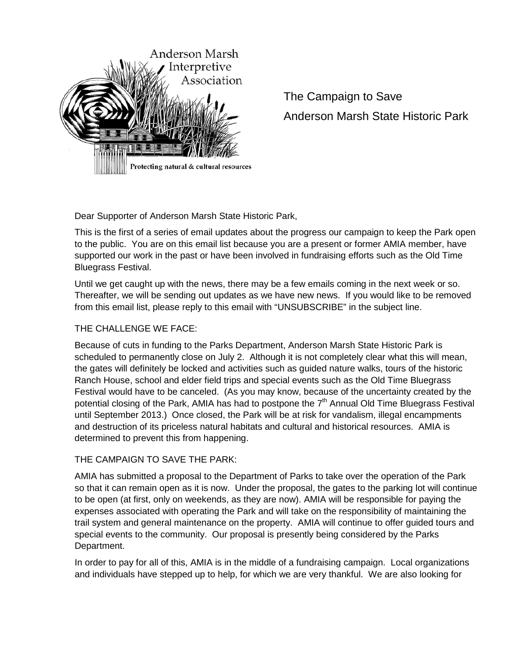

The Campaign to Save Anderson Marsh State Historic Park

Dear Supporter of Anderson Marsh State Historic Park,

This is the first of a series of email updates about the progress our campaign to keep the Park open to the public. You are on this email list because you are a present or former AMIA member, have supported our work in the past or have been involved in fundraising efforts such as the Old Time Bluegrass Festival.

Until we get caught up with the news, there may be a few emails coming in the next week or so. Thereafter, we will be sending out updates as we have new news. If you would like to be removed from this email list, please reply to this email with "UNSUBSCRIBE" in the subject line.

## THE CHALLENGE WE FACE:

Because of cuts in funding to the Parks Department, Anderson Marsh State Historic Park is scheduled to permanently close on July 2. Although it is not completely clear what this will mean, the gates will definitely be locked and activities such as guided nature walks, tours of the historic Ranch House, school and elder field trips and special events such as the Old Time Bluegrass Festival would have to be canceled. (As you may know, because of the uncertainty created by the potential closing of the Park, AMIA has had to postpone the  $7<sup>th</sup>$  Annual Old Time Bluegrass Festival until September 2013.) Once closed, the Park will be at risk for vandalism, illegal encampments and destruction of its priceless natural habitats and cultural and historical resources. AMIA is determined to prevent this from happening.

## THE CAMPAIGN TO SAVE THE PARK:

AMIA has submitted a proposal to the Department of Parks to take over the operation of the Park so that it can remain open as it is now. Under the proposal, the gates to the parking lot will continue to be open (at first, only on weekends, as they are now). AMIA will be responsible for paying the expenses associated with operating the Park and will take on the responsibility of maintaining the trail system and general maintenance on the property. AMIA will continue to offer guided tours and special events to the community. Our proposal is presently being considered by the Parks Department.

In order to pay for all of this, AMIA is in the middle of a fundraising campaign. Local organizations and individuals have stepped up to help, for which we are very thankful. We are also looking for